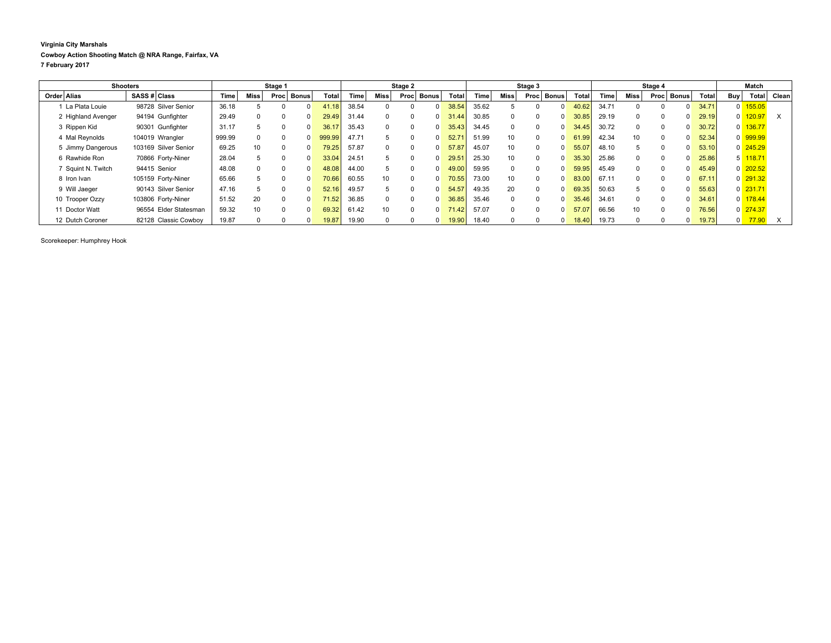## **Virginia City Marshals Cowboy Action Shooting Match @ NRA Range, Fairfax, VA 7 February 2017**

| <b>Shooters</b>    |                       |        | Stage 1     |              |              |                    | Stage 2 |             |      |              | Stage 3 |       |                 |          | Stage 4      |                |       |          | Match    |              |       |                |                      |       |
|--------------------|-----------------------|--------|-------------|--------------|--------------|--------------------|---------|-------------|------|--------------|---------|-------|-----------------|----------|--------------|----------------|-------|----------|----------|--------------|-------|----------------|----------------------|-------|
| Order Alias        | SASS # Class          | Time   | <b>Miss</b> | Proc         | <b>Bonus</b> | Total              | Time    | <b>Miss</b> | Proc | <b>Bonus</b> | Total   | l'ime | <b>Miss</b>     | Proc     | <b>Bonus</b> | Tota           | Time  | Miss     | Proc     | <b>Bonus</b> | Total | <b>Buy</b>     | <b>Total</b>         | Clean |
| La Plata Louie     | 98728 Silver Senior   | 36.18  |             |              |              | .18                | 38.54   | 0           |      |              | 38.54   | 35.62 |                 |          |              |                | 34.71 |          |          | $\Omega$     | 34.71 |                | 0 155.05             |       |
| 2 Highland Avenger | 94194 Gunfighter      | 29.49  | $\Omega$    | $\Omega$     |              | 29.49              | 31.44   | $\Omega$    |      |              | 31.44   | 30.85 |                 | $\Omega$ |              |                | 29.19 | $\Omega$ | $\Omega$ | 0            | 29.19 |                | $0$ 120.97           | X     |
| 3 Rippen Kid       | 90301 Gunfighter      | 31.17  | $5^{\circ}$ | 0            |              | 36.17              | 35.43   | $\mathbf 0$ |      |              | 35.43   | 34.45 |                 |          |              | 34.45          | 30.72 |          |          | 0            | 30.72 |                | $0$ 136.77           |       |
| 4 Mal Reynolds     | 104019 Wrangler       | 999.99 | $\Omega$    | $\Omega$     |              | 999.99             | 47.71   | 5           |      |              | 52.7'   | 51.99 | 10 <sup>1</sup> | $\Omega$ |              | 61<br><b>g</b> | 42.34 | 10       | $\Omega$ | 0            | 52.34 |                | 0 999.99             |       |
| 5 Jimmy Dangerous  | 103169 Silver Senior  | 69.25  | 10          | $\Omega$     |              | 79.25              | 57.87   | $\Omega$    | 0    |              | 57.87   | 45.07 | 10              | $\Omega$ |              | 55.07          | 48.10 |          | $\Omega$ | $\Omega$     | 53.10 |                | 0 245.29             |       |
| 6 Rawhide Ron      | 70866 Forty-Niner     | 28.04  | 'n.         | <sup>0</sup> |              | 33.04              | 24.51   | 5           |      |              | 29.5    | 25.30 |                 |          |              |                | 25.86 |          |          | <sup>0</sup> | 25.86 |                | $5\overline{118.71}$ |       |
| Squint N. Twitch   | 94415 Senior          | 48.08  | $\Omega$    | $\Omega$     |              | 48.08              | 44.00   | 5           |      |              | 49.00   | 59.95 |                 | $\Omega$ |              | 59.95          | 45.49 | $\Omega$ | $\Omega$ | $\Omega$     | 45.49 |                | $0$ 202.52           |       |
| 8 Iron Ivan        | 105159 Forty-Niner    | 65.66  |             | $\Omega$     |              | 70.66              | 60.55   | 10          |      |              | 70.55   | 73.00 | 10              | $\Omega$ |              | 83.0           | 67.11 | $\Omega$ | $\Omega$ | 0            | 67.11 |                | $0$ 291.32           |       |
| 9 Will Jaeger      | 90143 Silver Senior   | 47.16  |             | 0            |              | 52.16              | 49.57   | 5           |      |              | 54.57   | 49.35 | 20              | $\Omega$ |              |                | 50.63 |          |          | $\Omega$     | 55.63 |                | $0$ 231.71           |       |
| 10 Trooper Ozzy    | 103806 Forty-Niner    | 51.52  | 20          | $\Omega$     |              | 71.52 <sub>1</sub> | 36.85   | $\Omega$    |      |              | 36.85   | 35.46 |                 | $\Omega$ |              | 35.46          | 34.61 | $\Omega$ | $\Omega$ | $\Omega$     | 34.61 |                | $0$ 178.44           |       |
| 11 Doctor Watt     | 96554 Elder Statesman | 59.32  | 10          | 0            |              | 69.32              | 61.42   | 10          |      |              | 71.42   | 57.07 |                 | $\Omega$ |              | 57.07          | 66.56 | 10       | $\Omega$ | 0            | 76.56 |                | 0 274.37             |       |
| 12 Dutch Coroner   | 82128 Classic Cowboy  | 19.87  |             |              |              | 19.87              | 19.90   | $\Omega$    |      |              | 19.90   | 18.40 |                 |          |              | 18.40          | 19.73 | $\Omega$ |          | 0            | 19.73 | $\overline{0}$ | 77.90                |       |

Scorekeeper: Humphrey Hook